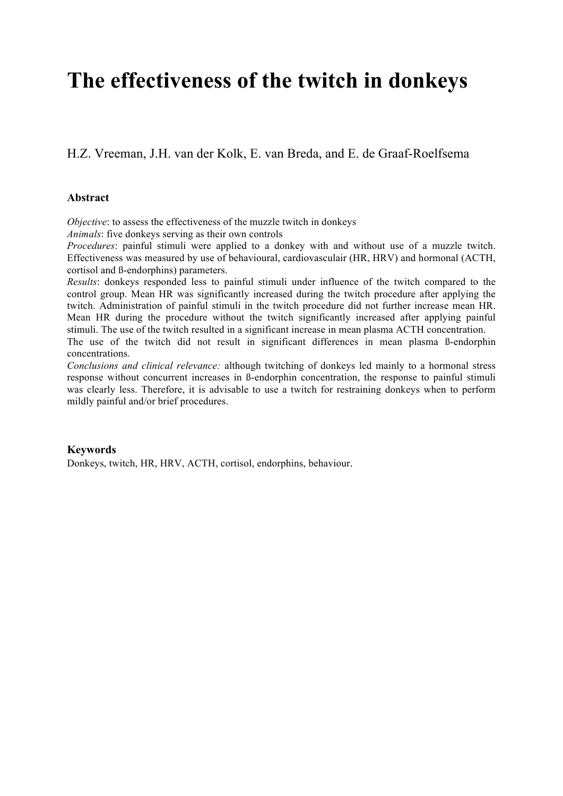# **The effectiveness of the twitch in donkeys**

H.Z. Vreeman, J.H. van der Kolk, E. van Breda, and E. de Graaf-Roelfsema

# **Abstract**

*Objective*: to assess the effectiveness of the muzzle twitch in donkeys

*Animals*: five donkeys serving as their own controls

*Procedures*: painful stimuli were applied to a donkey with and without use of a muzzle twitch. Effectiveness was measured by use of behavioural, cardiovasculair (HR, HRV) and hormonal (ACTH, cortisol and ß-endorphins) parameters.

*Results*: donkeys responded less to painful stimuli under influence of the twitch compared to the control group. Mean HR was significantly increased during the twitch procedure after applying the twitch. Administration of painful stimuli in the twitch procedure did not further increase mean HR. Mean HR during the procedure without the twitch significantly increased after applying painful stimuli. The use of the twitch resulted in a significant increase in mean plasma ACTH concentration. The use of the twitch did not result in significant differences in mean plasma ß-endorphin concentrations.

*Conclusions and clinical relevance:* although twitching of donkeys led mainly to a hormonal stress response without concurrent increases in ß-endorphin concentration, the response to painful stimuli was clearly less. Therefore, it is advisable to use a twitch for restraining donkeys when to perform mildly painful and/or brief procedures.

# **Keywords**

Donkeys, twitch, HR, HRV, ACTH, cortisol, endorphins, behaviour.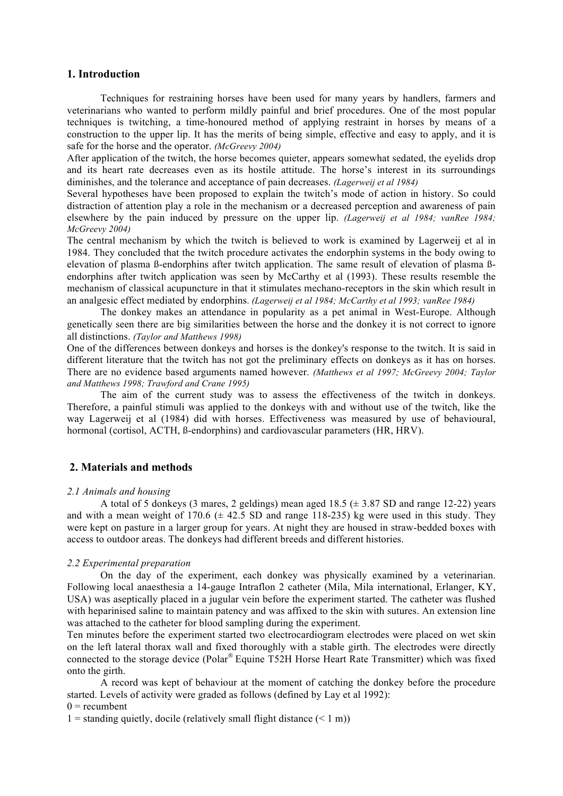# **1. Introduction**

Techniques for restraining horses have been used for many years by handlers, farmers and veterinarians who wanted to perform mildly painful and brief procedures. One of the most popular techniques is twitching, a time-honoured method of applying restraint in horses by means of a construction to the upper lip. It has the merits of being simple, effective and easy to apply, and it is safe for the horse and the operator. *(McGreevy 2004)*

After application of the twitch, the horse becomes quieter, appears somewhat sedated, the eyelids drop and its heart rate decreases even as its hostile attitude. The horse's interest in its surroundings diminishes, and the tolerance and acceptance of pain decreases. *(Lagerweij et al 1984)*

Several hypotheses have been proposed to explain the twitch's mode of action in history. So could distraction of attention play a role in the mechanism or a decreased perception and awareness of pain elsewhere by the pain induced by pressure on the upper lip. *(Lagerweij et al 1984; vanRee 1984; McGreevy 2004)*

The central mechanism by which the twitch is believed to work is examined by Lagerweij et al in 1984. They concluded that the twitch procedure activates the endorphin systems in the body owing to elevation of plasma ß-endorphins after twitch application. The same result of elevation of plasma ßendorphins after twitch application was seen by McCarthy et al (1993). These results resemble the mechanism of classical acupuncture in that it stimulates mechano-receptors in the skin which result in an analgesic effect mediated by endorphins. *(Lagerweij et al 1984; McCarthy et al 1993; vanRee 1984)* 

The donkey makes an attendance in popularity as a pet animal in West-Europe. Although genetically seen there are big similarities between the horse and the donkey it is not correct to ignore all distinctions. *(Taylor and Matthews 1998)*

One of the differences between donkeys and horses is the donkey's response to the twitch. It is said in different literature that the twitch has not got the preliminary effects on donkeys as it has on horses. There are no evidence based arguments named however. *(Matthews et al 1997; McGreevy 2004; Taylor and Matthews 1998; Trawford and Crane 1995)*

The aim of the current study was to assess the effectiveness of the twitch in donkeys. Therefore, a painful stimuli was applied to the donkeys with and without use of the twitch, like the way Lagerweij et al (1984) did with horses. Effectiveness was measured by use of behavioural, hormonal (cortisol, ACTH, ß-endorphins) and cardiovascular parameters (HR, HRV).

# **2. Materials and methods**

#### *2.1 Animals and housing*

A total of 5 donkeys (3 mares, 2 geldings) mean aged  $18.5 \ (\pm 3.87 \text{ SD})$  and range  $12{\text -}22$ ) years and with a mean weight of 170.6 ( $\pm$  42.5 SD and range 118-235) kg were used in this study. They were kept on pasture in a larger group for years. At night they are housed in straw-bedded boxes with access to outdoor areas. The donkeys had different breeds and different histories.

## *2.2 Experimental preparation*

On the day of the experiment, each donkey was physically examined by a veterinarian. Following local anaesthesia a 14-gauge Intraflon 2 catheter (Mila, Mila international, Erlanger, KY, USA) was aseptically placed in a jugular vein before the experiment started. The catheter was flushed with heparinised saline to maintain patency and was affixed to the skin with sutures. An extension line was attached to the catheter for blood sampling during the experiment.

Ten minutes before the experiment started two electrocardiogram electrodes were placed on wet skin on the left lateral thorax wall and fixed thoroughly with a stable girth. The electrodes were directly connected to the storage device (Polar® Equine T52H Horse Heart Rate Transmitter) which was fixed onto the girth.

A record was kept of behaviour at the moment of catching the donkey before the procedure started. Levels of activity were graded as follows (defined by Lay et al 1992):

 $0 =$  recumbent

1 = standing quietly, docile (relatively small flight distance  $(< 1 \text{ m})$ )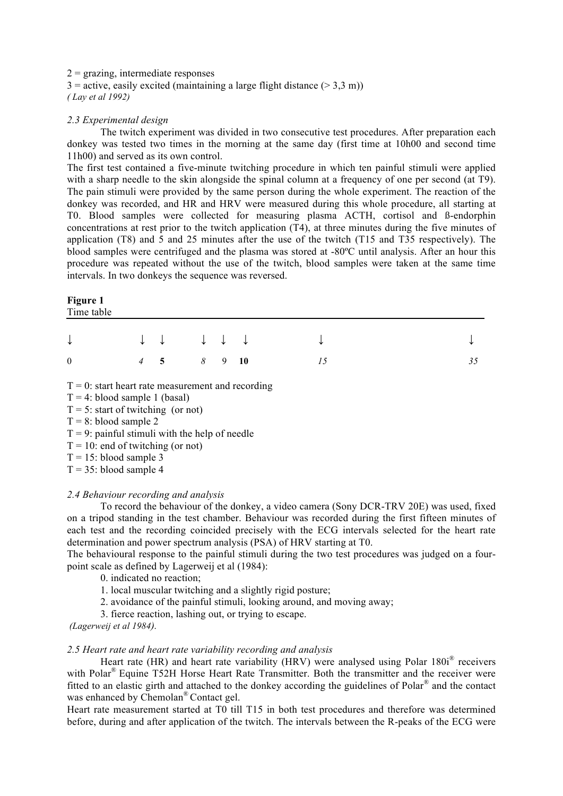# $2 =$  grazing, intermediate responses

 $3 =$  active, easily excited (maintaining a large flight distance ( $>$  3.3 m)) *( Lay et al 1992)*

# *2.3 Experimental design*

The twitch experiment was divided in two consecutive test procedures. After preparation each donkey was tested two times in the morning at the same day (first time at 10h00 and second time 11h00) and served as its own control.

The first test contained a five-minute twitching procedure in which ten painful stimuli were applied with a sharp needle to the skin alongside the spinal column at a frequency of one per second (at T9). The pain stimuli were provided by the same person during the whole experiment. The reaction of the donkey was recorded, and HR and HRV were measured during this whole procedure, all starting at T0. Blood samples were collected for measuring plasma ACTH, cortisol and ß-endorphin concentrations at rest prior to the twitch application (T4), at three minutes during the five minutes of application (T8) and 5 and 25 minutes after the use of the twitch (T15 and T35 respectively). The blood samples were centrifuged and the plasma was stored at -80ºC until analysis. After an hour this procedure was repeated without the use of the twitch, blood samples were taken at the same time intervals. In two donkeys the sequence was reversed.

# **Figure 1**

|  |  | $\downarrow \qquad \qquad \downarrow \qquad \downarrow \qquad \downarrow \qquad \downarrow \qquad \qquad \downarrow \qquad \qquad \downarrow$ |    | $\downarrow$ |
|--|--|-----------------------------------------------------------------------------------------------------------------------------------------------|----|--------------|
|  |  |                                                                                                                                               | 35 |              |

 $T = 0$ : start heart rate measurement and recording

 $T = 4$ : blood sample 1 (basal)

 $T = 5$ : start of twitching (or not)

 $T = 8$ : blood sample 2

 $T = 9$ : painful stimuli with the help of needle

 $T = 10$ : end of twitching (or not)

 $T = 15$ : blood sample 3

 $T = 35$ : blood sample 4

# *2.4 Behaviour recording and analysis*

To record the behaviour of the donkey, a video camera (Sony DCR-TRV 20E) was used, fixed on a tripod standing in the test chamber. Behaviour was recorded during the first fifteen minutes of each test and the recording coincided precisely with the ECG intervals selected for the heart rate determination and power spectrum analysis (PSA) of HRV starting at T0.

The behavioural response to the painful stimuli during the two test procedures was judged on a fourpoint scale as defined by Lagerweij et al (1984):

- 0. indicated no reaction;
- 1. local muscular twitching and a slightly rigid posture;
- 2. avoidance of the painful stimuli, looking around, and moving away;
- 3. fierce reaction, lashing out, or trying to escape.

*(Lagerweij et al 1984).*

# *2.5 Heart rate and heart rate variability recording and analysis*

Heart rate (HR) and heart rate variability (HRV) were analysed using Polar 180i<sup>®</sup> receivers with Polar<sup>®</sup> Equine T52H Horse Heart Rate Transmitter. Both the transmitter and the receiver were fitted to an elastic girth and attached to the donkey according the guidelines of Polar® and the contact was enhanced by Chemolan<sup>®</sup> Contact gel.

Heart rate measurement started at T0 till T15 in both test procedures and therefore was determined before, during and after application of the twitch. The intervals between the R-peaks of the ECG were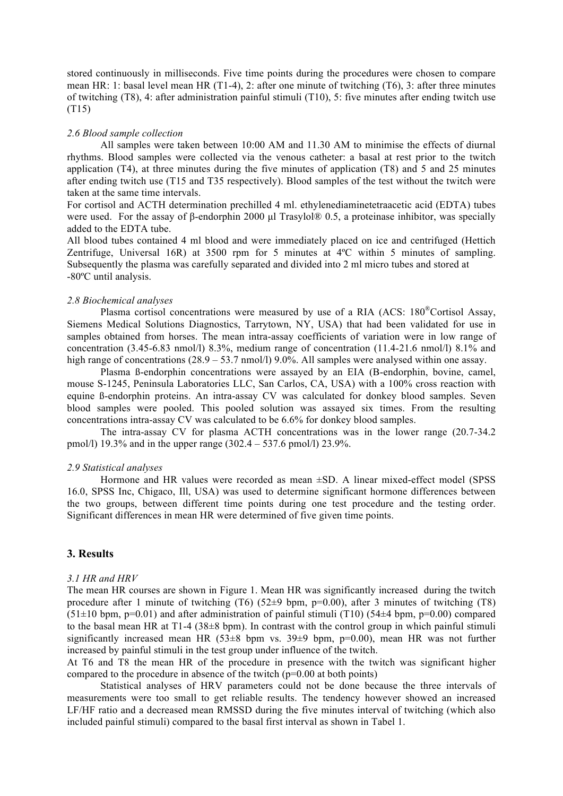stored continuously in milliseconds. Five time points during the procedures were chosen to compare mean HR: 1: basal level mean HR (T1-4), 2: after one minute of twitching (T6), 3: after three minutes of twitching (T8), 4: after administration painful stimuli (T10), 5: five minutes after ending twitch use (T15)

#### *2.6 Blood sample collection*

All samples were taken between 10:00 AM and 11.30 AM to minimise the effects of diurnal rhythms. Blood samples were collected via the venous catheter: a basal at rest prior to the twitch application (T4), at three minutes during the five minutes of application (T8) and 5 and 25 minutes after ending twitch use (T15 and T35 respectively). Blood samples of the test without the twitch were taken at the same time intervals.

For cortisol and ACTH determination prechilled 4 ml. ethylenediaminetetraacetic acid (EDTA) tubes were used. For the assay of β-endorphin 2000 μl Trasylol® 0.5, a proteinase inhibitor, was specially added to the EDTA tube.

All blood tubes contained 4 ml blood and were immediately placed on ice and centrifuged (Hettich Zentrifuge, Universal 16R) at 3500 rpm for 5 minutes at 4ºC within 5 minutes of sampling. Subsequently the plasma was carefully separated and divided into 2 ml micro tubes and stored at -80ºC until analysis.

#### *2.8 Biochemical analyses*

Plasma cortisol concentrations were measured by use of a RIA (ACS: 180®Cortisol Assay, Siemens Medical Solutions Diagnostics, Tarrytown, NY, USA) that had been validated for use in samples obtained from horses. The mean intra-assay coefficients of variation were in low range of concentration (3.45-6.83 nmol/l) 8.3%, medium range of concentration (11.4-21.6 nmol/l) 8.1% and high range of concentrations (28.9 – 53.7 nmol/l) 9.0%. All samples were analysed within one assay.

Plasma ß-endorphin concentrations were assayed by an EIA (B-endorphin, bovine, camel, mouse S-1245, Peninsula Laboratories LLC, San Carlos, CA, USA) with a 100% cross reaction with equine ß-endorphin proteins. An intra-assay CV was calculated for donkey blood samples. Seven blood samples were pooled. This pooled solution was assayed six times. From the resulting concentrations intra-assay CV was calculated to be 6.6% for donkey blood samples.

The intra-assay CV for plasma ACTH concentrations was in the lower range (20.7-34.2 pmol/l) 19.3% and in the upper range (302.4 – 537.6 pmol/l) 23.9%.

#### *2.9 Statistical analyses*

Hormone and HR values were recorded as mean ±SD. A linear mixed-effect model (SPSS 16.0, SPSS Inc, Chigaco, Ill, USA) was used to determine significant hormone differences between the two groups, between different time points during one test procedure and the testing order. Significant differences in mean HR were determined of five given time points.

# **3. Results**

#### *3.1 HR and HRV*

The mean HR courses are shown in Figure 1. Mean HR was significantly increased during the twitch procedure after 1 minute of twitching (T6)  $(52\pm 9 \text{ bpm}, \text{p}=0.00)$ , after 3 minutes of twitching (T8)  $(51\pm10$  bpm, p=0.01) and after administration of painful stimuli (T10) (54 $\pm$ 4 bpm, p=0.00) compared to the basal mean HR at  $T1-4$  (38 $\pm$ 8 bpm). In contrast with the control group in which painful stimuli significantly increased mean HR  $(53\pm8$  bpm vs.  $39\pm9$  bpm,  $p=0.00$ ), mean HR was not further increased by painful stimuli in the test group under influence of the twitch.

At T6 and T8 the mean HR of the procedure in presence with the twitch was significant higher compared to the procedure in absence of the twitch  $(p=0.00$  at both points)

Statistical analyses of HRV parameters could not be done because the three intervals of measurements were too small to get reliable results. The tendency however showed an increased LF/HF ratio and a decreased mean RMSSD during the five minutes interval of twitching (which also included painful stimuli) compared to the basal first interval as shown in Tabel 1.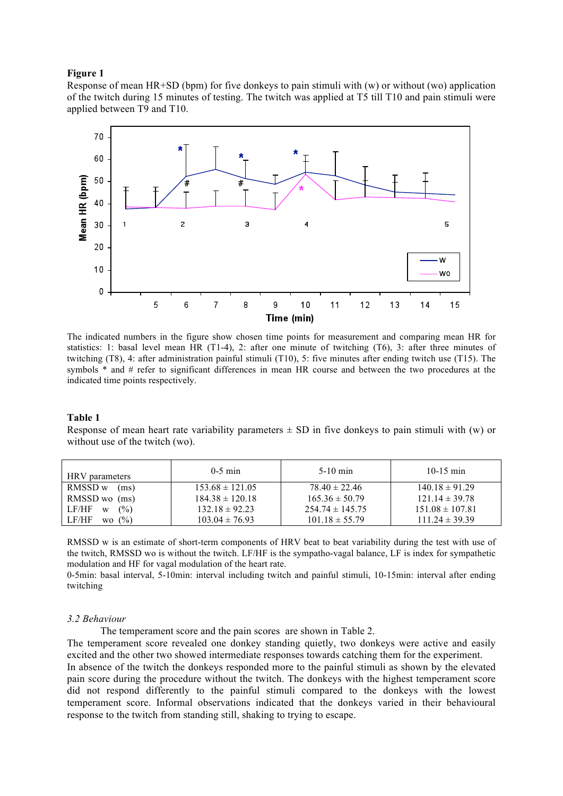#### **Figure 1**

Response of mean  $HR+SD$  (bpm) for five donkeys to pain stimuli with  $(w)$  or without  $(wo)$  application of the twitch during 15 minutes of testing. The twitch was applied at T5 till T10 and pain stimuli were applied between T9 and T10.



The indicated numbers in the figure show chosen time points for measurement and comparing mean HR for statistics: 1: basal level mean HR (T1-4), 2: after one minute of twitching (T6), 3: after three minutes of twitching (T8), 4: after administration painful stimuli (T10), 5: five minutes after ending twitch use (T15). The symbols  $*$  and # refer to significant differences in mean HR course and between the two procedures at the indicated time points respectively.

#### **Table 1**

Response of mean heart rate variability parameters  $\pm$  SD in five donkeys to pain stimuli with (w) or without use of the twitch (wo).

| HRV parameters                    | $0-5$ min           | $5-10$ min          | 10-15 min           |
|-----------------------------------|---------------------|---------------------|---------------------|
| RMSSD w<br>(ms)                   | $153.68 \pm 121.05$ | $78.40 \pm 22.46$   | $140.18 \pm 91.29$  |
| RMSSD wo (ms)                     | $184.38 \pm 120.18$ | $165.36 \pm 50.79$  | $121.14 \pm 39.78$  |
| (%)<br>LF/HF<br>W                 | $132.18 \pm 92.23$  | $254.74 \pm 145.75$ | $151.08 \pm 107.81$ |
| LF/HF<br>$($ %)<br>W <sub>O</sub> | $103.04 \pm 76.93$  | $101.18 \pm 55.79$  | $111.24 \pm 39.39$  |

RMSSD w is an estimate of short-term components of HRV beat to beat variability during the test with use of the twitch, RMSSD wo is without the twitch. LF/HF is the sympatho-vagal balance, LF is index for sympathetic modulation and HF for vagal modulation of the heart rate.

0-5min: basal interval, 5-10min: interval including twitch and painful stimuli, 10-15min: interval after ending twitching

#### *3.2 Behaviour*

The temperament score and the pain scores are shown in Table 2.

The temperament score revealed one donkey standing quietly, two donkeys were active and easily excited and the other two showed intermediate responses towards catching them for the experiment.

In absence of the twitch the donkeys responded more to the painful stimuli as shown by the elevated pain score during the procedure without the twitch. The donkeys with the highest temperament score did not respond differently to the painful stimuli compared to the donkeys with the lowest temperament score. Informal observations indicated that the donkeys varied in their behavioural response to the twitch from standing still, shaking to trying to escape.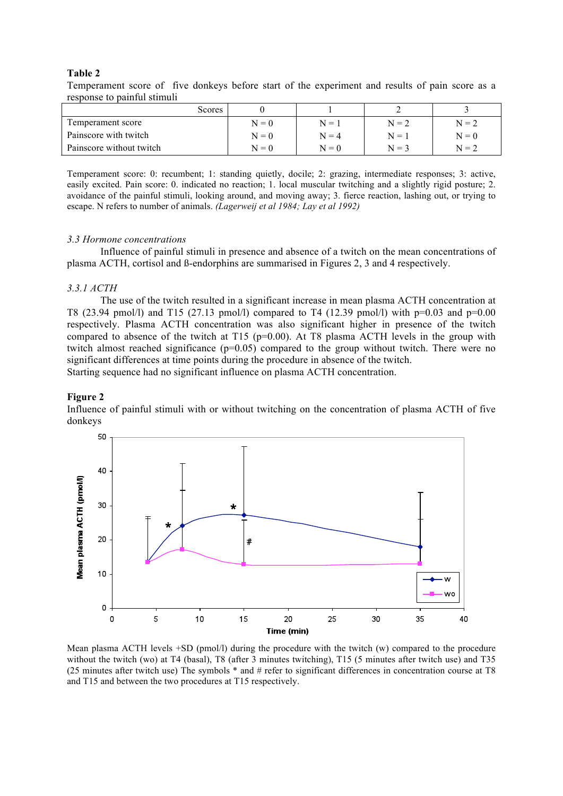# **Table 2**

Temperament score of five donkeys before start of the experiment and results of pain score as a response to painful stimuli

| Scores                   |         |         |         |         |
|--------------------------|---------|---------|---------|---------|
| Temperament score        | $N = 0$ | $N = 1$ | $N = 2$ | $N = 2$ |
| Painscore with twitch    | $N = 0$ | $N = 4$ | $N = 1$ | $N = 0$ |
| Painscore without twitch | $N = 0$ | $N = 0$ | $N = 3$ | $N = 2$ |

Temperament score: 0: recumbent; 1: standing quietly, docile; 2: grazing, intermediate responses; 3: active, easily excited. Pain score: 0. indicated no reaction; 1. local muscular twitching and a slightly rigid posture; 2. avoidance of the painful stimuli, looking around, and moving away; 3. fierce reaction, lashing out, or trying to escape. N refers to number of animals. *(Lagerweij et al 1984; Lay et al 1992)* 

#### *3.3 Hormone concentrations*

Influence of painful stimuli in presence and absence of a twitch on the mean concentrations of plasma ACTH, cortisol and ß-endorphins are summarised in Figures 2, 3 and 4 respectively.

#### *3.3.1 ACTH*

The use of the twitch resulted in a significant increase in mean plasma ACTH concentration at T8 (23.94 pmol/l) and T15 (27.13 pmol/l) compared to T4 (12.39 pmol/l) with p=0.03 and p=0.00 respectively. Plasma ACTH concentration was also significant higher in presence of the twitch compared to absence of the twitch at T15 ( $p=0.00$ ). At T8 plasma ACTH levels in the group with twitch almost reached significance  $(p=0.05)$  compared to the group without twitch. There were no significant differences at time points during the procedure in absence of the twitch. Starting sequence had no significant influence on plasma ACTH concentration.

#### **Figure 2**

Influence of painful stimuli with or without twitching on the concentration of plasma ACTH of five donkeys



Mean plasma ACTH levels +SD (pmol/l) during the procedure with the twitch (w) compared to the procedure without the twitch (wo) at T4 (basal), T8 (after 3 minutes twitching), T15 (5 minutes after twitch use) and T35 (25 minutes after twitch use) The symbols \* and # refer to significant differences in concentration course at T8 and T15 and between the two procedures at T15 respectively.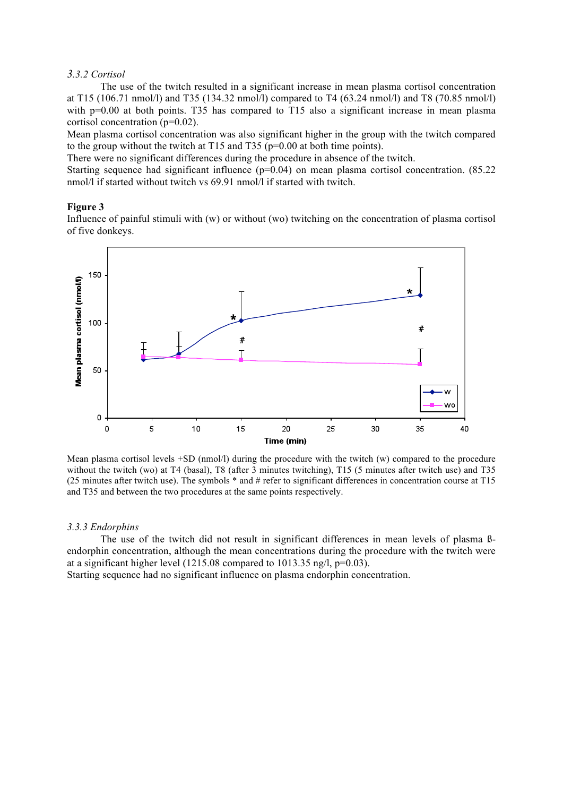#### *3.3.2 Cortisol*

The use of the twitch resulted in a significant increase in mean plasma cortisol concentration at T15 (106.71 nmol/l) and T35 (134.32 nmol/l) compared to T4 (63.24 nmol/l) and T8 (70.85 nmol/l) with p=0.00 at both points. T35 has compared to T15 also a significant increase in mean plasma cortisol concentration (p=0.02).

Mean plasma cortisol concentration was also significant higher in the group with the twitch compared to the group without the twitch at T15 and T35 (p=0.00 at both time points).

There were no significant differences during the procedure in absence of the twitch.

Starting sequence had significant influence (p=0.04) on mean plasma cortisol concentration. (85.22) nmol/l if started without twitch vs 69.91 nmol/l if started with twitch.

#### **Figure 3**

Influence of painful stimuli with (w) or without (wo) twitching on the concentration of plasma cortisol of five donkeys.



Mean plasma cortisol levels +SD (nmol/l) during the procedure with the twitch (w) compared to the procedure without the twitch (wo) at T4 (basal), T8 (after 3 minutes twitching), T15 (5 minutes after twitch use) and T35 (25 minutes after twitch use). The symbols \* and # refer to significant differences in concentration course at T15 and T35 and between the two procedures at the same points respectively.

#### *3.3.3 Endorphins*

The use of the twitch did not result in significant differences in mean levels of plasma ßendorphin concentration, although the mean concentrations during the procedure with the twitch were at a significant higher level (1215.08 compared to 1013.35 ng/l, p=0.03).

Starting sequence had no significant influence on plasma endorphin concentration.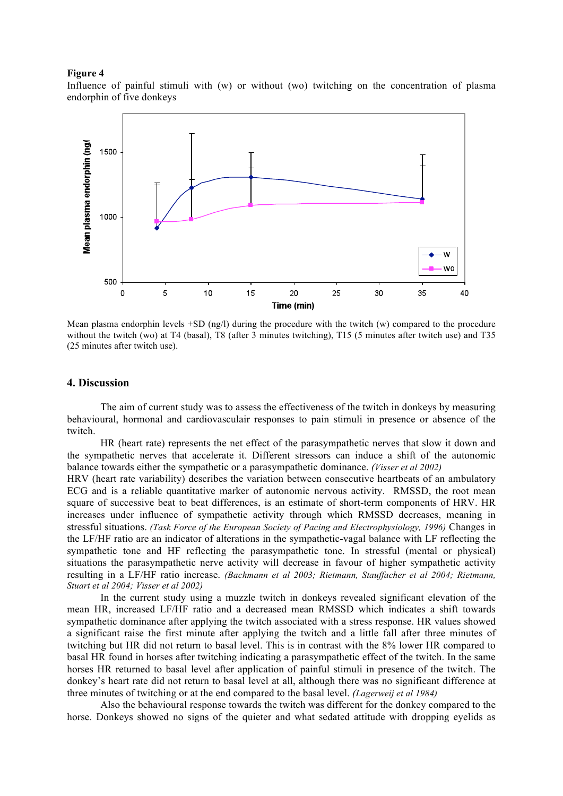#### **Figure 4**

Influence of painful stimuli with (w) or without (wo) twitching on the concentration of plasma endorphin of five donkeys



Mean plasma endorphin levels +SD (ng/l) during the procedure with the twitch (w) compared to the procedure without the twitch (wo) at T4 (basal), T8 (after 3 minutes twitching), T15 (5 minutes after twitch use) and T35 (25 minutes after twitch use).

## **4. Discussion**

The aim of current study was to assess the effectiveness of the twitch in donkeys by measuring behavioural, hormonal and cardiovasculair responses to pain stimuli in presence or absence of the twitch.

HR (heart rate) represents the net effect of the parasympathetic nerves that slow it down and the sympathetic nerves that accelerate it. Different stressors can induce a shift of the autonomic balance towards either the sympathetic or a parasympathetic dominance. *(Visser et al 2002)* 

HRV (heart rate variability) describes the variation between consecutive heartbeats of an ambulatory ECG and is a reliable quantitative marker of autonomic nervous activity. RMSSD, the root mean square of successive beat to beat differences, is an estimate of short-term components of HRV. HR increases under influence of sympathetic activity through which RMSSD decreases, meaning in stressful situations. *(Task Force of the European Society of Pacing and Electrophysiology, 1996)* Changes in the LF/HF ratio are an indicator of alterations in the sympathetic-vagal balance with LF reflecting the sympathetic tone and HF reflecting the parasympathetic tone. In stressful (mental or physical) situations the parasympathetic nerve activity will decrease in favour of higher sympathetic activity resulting in a LF/HF ratio increase. *(Bachmann et al 2003; Rietmann, Stauffacher et al 2004; Rietmann, Stuart et al 2004; Visser et al 2002)*

In the current study using a muzzle twitch in donkeys revealed significant elevation of the mean HR, increased LF/HF ratio and a decreased mean RMSSD which indicates a shift towards sympathetic dominance after applying the twitch associated with a stress response. HR values showed a significant raise the first minute after applying the twitch and a little fall after three minutes of twitching but HR did not return to basal level. This is in contrast with the 8% lower HR compared to basal HR found in horses after twitching indicating a parasympathetic effect of the twitch. In the same horses HR returned to basal level after application of painful stimuli in presence of the twitch. The donkey's heart rate did not return to basal level at all, although there was no significant difference at three minutes of twitching or at the end compared to the basal level. *(Lagerweij et al 1984)*

Also the behavioural response towards the twitch was different for the donkey compared to the horse. Donkeys showed no signs of the quieter and what sedated attitude with dropping eyelids as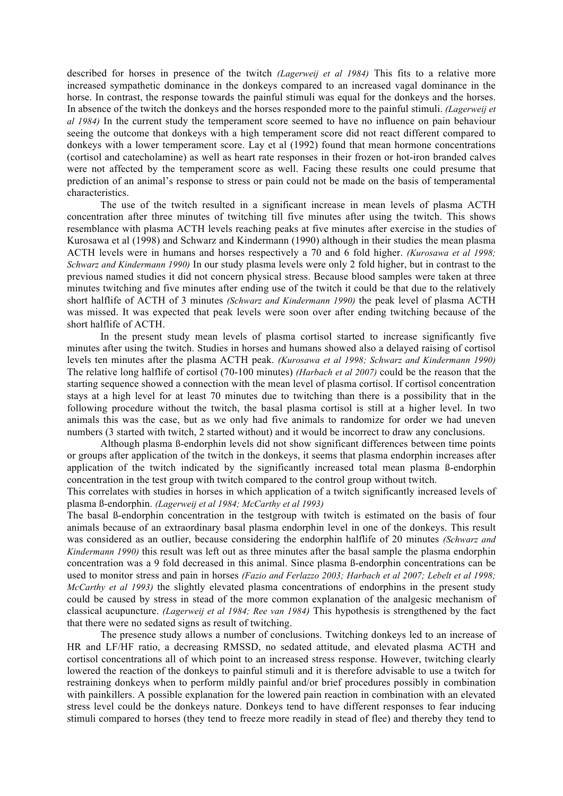described for horses in presence of the twitch *(Lagerweij et al 1984)* This fits to a relative more increased sympathetic dominance in the donkeys compared to an increased vagal dominance in the horse. In contrast, the response towards the painful stimuli was equal for the donkeys and the horses. In absence of the twitch the donkeys and the horses responded more to the painful stimuli. *(Lagerweij et al 1984)* In the current study the temperament score seemed to have no influence on pain behaviour seeing the outcome that donkeys with a high temperament score did not react different compared to donkeys with a lower temperament score. Lay et al (1992) found that mean hormone concentrations (cortisol and catecholamine) as well as heart rate responses in their frozen or hot-iron branded calves were not affected by the temperament score as well. Facing these results one could presume that prediction of an animal's response to stress or pain could not be made on the basis of temperamental characteristics.

The use of the twitch resulted in a significant increase in mean levels of plasma ACTH concentration after three minutes of twitching till five minutes after using the twitch. This shows resemblance with plasma ACTH levels reaching peaks at five minutes after exercise in the studies of Kurosawa et al (1998) and Schwarz and Kindermann (1990) although in their studies the mean plasma ACTH levels were in humans and horses respectively a 70 and 6 fold higher. *(Kurosawa et al 1998; Schwarz and Kindermann 1990)* In our study plasma levels were only 2 fold higher, but in contrast to the previous named studies it did not concern physical stress. Because blood samples were taken at three minutes twitching and five minutes after ending use of the twitch it could be that due to the relatively short halflife of ACTH of 3 minutes *(Schwarz and Kindermann 1990)* the peak level of plasma ACTH was missed. It was expected that peak levels were soon over after ending twitching because of the short halflife of ACTH.

In the present study mean levels of plasma cortisol started to increase significantly five minutes after using the twitch. Studies in horses and humans showed also a delayed raising of cortisol levels ten minutes after the plasma ACTH peak. *(Kurosawa et al 1998; Schwarz and Kindermann 1990)* The relative long halflife of cortisol (70-100 minutes) *(Harbach et al 2007)* could be the reason that the starting sequence showed a connection with the mean level of plasma cortisol. If cortisol concentration stays at a high level for at least 70 minutes due to twitching than there is a possibility that in the following procedure without the twitch, the basal plasma cortisol is still at a higher level. In two animals this was the case, but as we only had five animals to randomize for order we had uneven numbers (3 started with twitch, 2 started without) and it would be incorrect to draw any conclusions.

Although plasma ß-endorphin levels did not show significant differences between time points or groups after application of the twitch in the donkeys, it seems that plasma endorphin increases after application of the twitch indicated by the significantly increased total mean plasma ß-endorphin concentration in the test group with twitch compared to the control group without twitch.

This correlates with studies in horses in which application of a twitch significantly increased levels of plasma ß-endorphin. *(Lagerweij et al 1984; McCarthy et al 1993)*

The basal ß-endorphin concentration in the testgroup with twitch is estimated on the basis of four animals because of an extraordinary basal plasma endorphin level in one of the donkeys. This result was considered as an outlier, because considering the endorphin halflife of 20 minutes *(Schwarz and Kindermann 1990)* this result was left out as three minutes after the basal sample the plasma endorphin concentration was a 9 fold decreased in this animal. Since plasma ß-endorphin concentrations can be used to monitor stress and pain in horses *(Fazio and Ferlazzo 2003; Harbach et al 2007; Lebelt et al 1998; McCarthy et al 1993)* the slightly elevated plasma concentrations of endorphins in the present study could be caused by stress in stead of the more common explanation of the analgesic mechanism of classical acupuncture. *(Lagerweij et al 1984; Ree van 1984)* This hypothesis is strengthened by the fact that there were no sedated signs as result of twitching.

The presence study allows a number of conclusions. Twitching donkeys led to an increase of HR and LF/HF ratio, a decreasing RMSSD, no sedated attitude, and elevated plasma ACTH and cortisol concentrations all of which point to an increased stress response. However, twitching clearly lowered the reaction of the donkeys to painful stimuli and it is therefore advisable to use a twitch for restraining donkeys when to perform mildly painful and/or brief procedures possibly in combination with painkillers. A possible explanation for the lowered pain reaction in combination with an elevated stress level could be the donkeys nature. Donkeys tend to have different responses to fear inducing stimuli compared to horses (they tend to freeze more readily in stead of flee) and thereby they tend to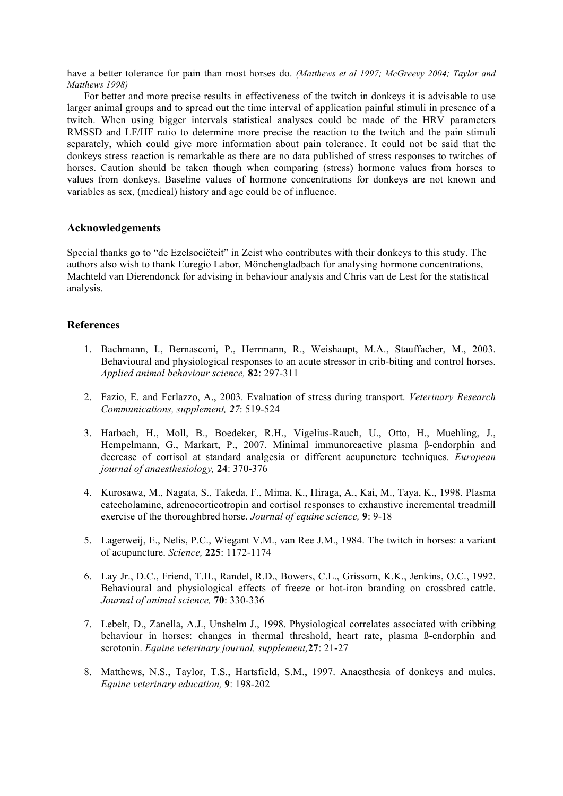have a better tolerance for pain than most horses do. *(Matthews et al 1997; McGreevy 2004; Taylor and Matthews 1998)*

For better and more precise results in effectiveness of the twitch in donkeys it is advisable to use larger animal groups and to spread out the time interval of application painful stimuli in presence of a twitch. When using bigger intervals statistical analyses could be made of the HRV parameters RMSSD and LF/HF ratio to determine more precise the reaction to the twitch and the pain stimuli separately, which could give more information about pain tolerance. It could not be said that the donkeys stress reaction is remarkable as there are no data published of stress responses to twitches of horses. Caution should be taken though when comparing (stress) hormone values from horses to values from donkeys. Baseline values of hormone concentrations for donkeys are not known and variables as sex, (medical) history and age could be of influence.

# **Acknowledgements**

Special thanks go to "de Ezelsociëteit" in Zeist who contributes with their donkeys to this study. The authors also wish to thank Euregio Labor, Mönchengladbach for analysing hormone concentrations, Machteld van Dierendonck for advising in behaviour analysis and Chris van de Lest for the statistical analysis.

# **References**

- 1. Bachmann, I., Bernasconi, P., Herrmann, R., Weishaupt, M.A., Stauffacher, M., 2003. Behavioural and physiological responses to an acute stressor in crib-biting and control horses. *Applied animal behaviour science,* **82**: 297-311
- 2. Fazio, E. and Ferlazzo, A., 2003. Evaluation of stress during transport. *Veterinary Research Communications, supplement, 27*: 519-524
- 3. Harbach, H., Moll, B., Boedeker, R.H., Vigelius-Rauch, U., Otto, H., Muehling, J., Hempelmann, G., Markart, P., 2007. Minimal immunoreactive plasma β-endorphin and decrease of cortisol at standard analgesia or different acupuncture techniques. *European journal of anaesthesiology,* **24**: 370-376
- 4. Kurosawa, M., Nagata, S., Takeda, F., Mima, K., Hiraga, A., Kai, M., Taya, K., 1998. Plasma catecholamine, adrenocorticotropin and cortisol responses to exhaustive incremental treadmill exercise of the thoroughbred horse. *Journal of equine science,* **9**: 9-18
- 5. Lagerweij, E., Nelis, P.C., Wiegant V.M., van Ree J.M., 1984. The twitch in horses: a variant of acupuncture. *Science,* **225**: 1172-1174
- 6. Lay Jr., D.C., Friend, T.H., Randel, R.D., Bowers, C.L., Grissom, K.K., Jenkins, O.C., 1992. Behavioural and physiological effects of freeze or hot-iron branding on crossbred cattle. *Journal of animal science,* **70**: 330-336
- 7. Lebelt, D., Zanella, A.J., Unshelm J., 1998. Physiological correlates associated with cribbing behaviour in horses: changes in thermal threshold, heart rate, plasma ß-endorphin and serotonin. *Equine veterinary journal, supplement,***27**: 21-27
- 8. Matthews, N.S., Taylor, T.S., Hartsfield, S.M., 1997. Anaesthesia of donkeys and mules. *Equine veterinary education,* **9**: 198-202